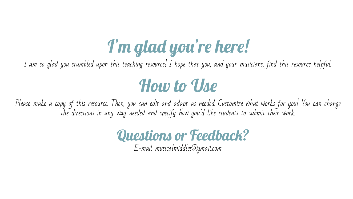## I'm glad you're here!

I am so glad you stumbled upon this teaching resource! I hope that you, and your musicians, find this resource helpful.

### How to Use

Please make a copy of this resource. Then, you can edit and adapt as needed. Customize what works for you! You can change the directions in any way needed and specify how you'd like students to submit their work.

#### Questions or Feedback?

E-mail musicalmiddles@gmail.com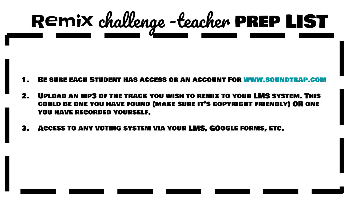# Remix challenge -teacher prep LIST

- 1. Be sure each Student has access or an account For [www.soundtrap.com](http://www.soundtrap.com)
- 2. Upload an mp3 of the track you wish to remix to your LMS system. This could be one you have found (make sure it's copyright friendly) OR one you have recorded yourself.
- 3. Access to any voting system via your LMS, GOogle forms, etc.